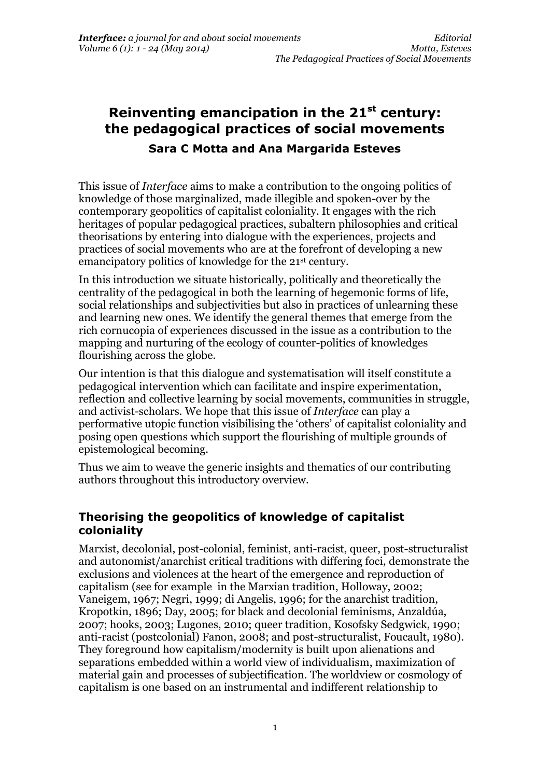# **Reinventing emancipation in the 21st century: the pedagogical practices of social movements Sara C Motta and Ana Margarida Esteves**

This issue of *Interface* aims to make a contribution to the ongoing politics of knowledge of those marginalized, made illegible and spoken-over by the contemporary geopolitics of capitalist coloniality. It engages with the rich heritages of popular pedagogical practices, subaltern philosophies and critical theorisations by entering into dialogue with the experiences, projects and practices of social movements who are at the forefront of developing a new emancipatory politics of knowledge for the 21st century.

In this introduction we situate historically, politically and theoretically the centrality of the pedagogical in both the learning of hegemonic forms of life, social relationships and subjectivities but also in practices of unlearning these and learning new ones. We identify the general themes that emerge from the rich cornucopia of experiences discussed in the issue as a contribution to the mapping and nurturing of the ecology of counter-politics of knowledges flourishing across the globe.

Our intention is that this dialogue and systematisation will itself constitute a pedagogical intervention which can facilitate and inspire experimentation, reflection and collective learning by social movements, communities in struggle, and activist-scholars. We hope that this issue of *Interface* can play a performative utopic function visibilising the 'others' of capitalist coloniality and posing open questions which support the flourishing of multiple grounds of epistemological becoming.

Thus we aim to weave the generic insights and thematics of our contributing authors throughout this introductory overview.

### **Theorising the geopolitics of knowledge of capitalist coloniality**

Marxist, decolonial, post-colonial, feminist, anti-racist, queer, post-structuralist and autonomist/anarchist critical traditions with differing foci, demonstrate the exclusions and violences at the heart of the emergence and reproduction of capitalism (see for example in the Marxian tradition, Holloway, 2002; Vaneigem, 1967; Negri, 1999; di Angelis, 1996; for the anarchist tradition, Kropotkin, 1896; Day, 2005; for black and decolonial feminisms, Anzaldúa, 2007; hooks, 2003; Lugones, 2010; queer tradition, Kosofsky Sedgwick, 1990; anti-racist (postcolonial) Fanon, 2008; and post-structuralist, Foucault, 1980). They foreground how capitalism/modernity is built upon alienations and separations embedded within a world view of individualism, maximization of material gain and processes of subjectification. The worldview or cosmology of capitalism is one based on an instrumental and indifferent relationship to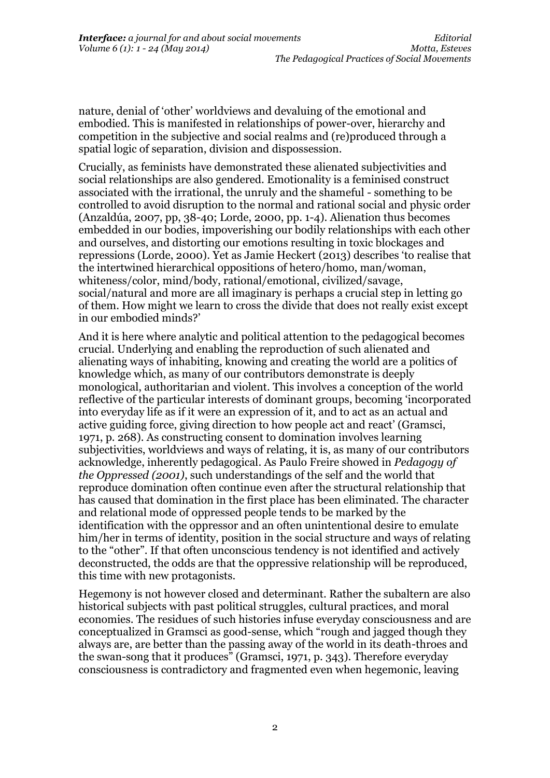nature, denial of 'other' worldviews and devaluing of the emotional and embodied. This is manifested in relationships of power-over, hierarchy and competition in the subjective and social realms and (re)produced through a spatial logic of separation, division and dispossession.

Crucially, as feminists have demonstrated these alienated subjectivities and social relationships are also gendered. Emotionality is a feminised construct associated with the irrational, the unruly and the shameful - something to be controlled to avoid disruption to the normal and rational social and physic order (Anzaldúa, 2007, pp, 38-40; Lorde, 2000, pp. 1-4). Alienation thus becomes embedded in our bodies, impoverishing our bodily relationships with each other and ourselves, and distorting our emotions resulting in toxic blockages and repressions (Lorde, 2000). Yet as Jamie Heckert (2013) describes 'to realise that the intertwined hierarchical oppositions of hetero/homo, man/woman, whiteness/color, mind/body, rational/emotional, civilized/savage, social/natural and more are all imaginary is perhaps a crucial step in letting go of them. How might we learn to cross the divide that does not really exist except in our embodied minds?'

And it is here where analytic and political attention to the pedagogical becomes crucial. Underlying and enabling the reproduction of such alienated and alienating ways of inhabiting, knowing and creating the world are a politics of knowledge which, as many of our contributors demonstrate is deeply monological, authoritarian and violent. This involves a conception of the world reflective of the particular interests of dominant groups, becoming 'incorporated into everyday life as if it were an expression of it, and to act as an actual and active guiding force, giving direction to how people act and react' (Gramsci, 1971, p. 268). As constructing consent to domination involves learning subjectivities, worldviews and ways of relating, it is, as many of our contributors acknowledge, inherently pedagogical. As Paulo Freire showed in *Pedagogy of the Oppressed (2001)*, such understandings of the self and the world that reproduce domination often continue even after the structural relationship that has caused that domination in the first place has been eliminated. The character and relational mode of oppressed people tends to be marked by the identification with the oppressor and an often unintentional desire to emulate him/her in terms of identity, position in the social structure and ways of relating to the "other". If that often unconscious tendency is not identified and actively deconstructed, the odds are that the oppressive relationship will be reproduced, this time with new protagonists.

Hegemony is not however closed and determinant. Rather the subaltern are also historical subjects with past political struggles, cultural practices, and moral economies. The residues of such histories infuse everyday consciousness and are conceptualized in Gramsci as good-sense, which "rough and jagged though they always are, are better than the passing away of the world in its death-throes and the swan-song that it produces" (Gramsci, 1971, p. 343). Therefore everyday consciousness is contradictory and fragmented even when hegemonic, leaving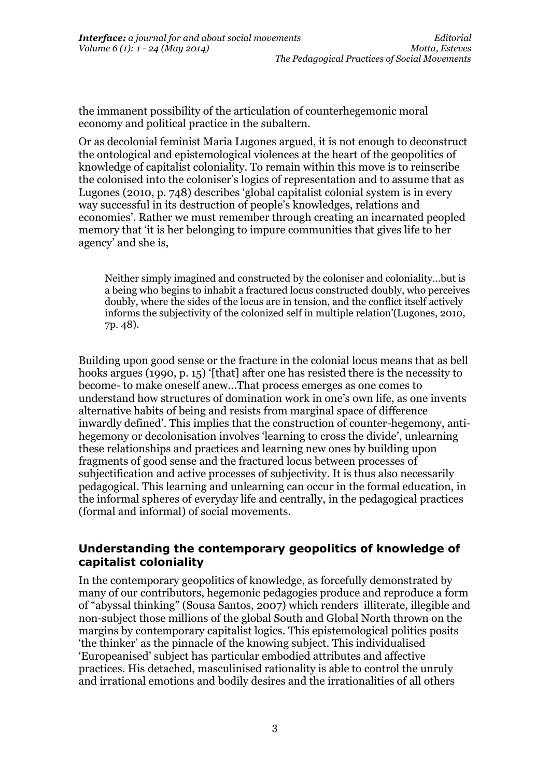the immanent possibility of the articulation of counterhegemonic moral economy and political practice in the subaltern.

Or as decolonial feminist Maria Lugones argued, it is not enough to deconstruct the ontological and epistemological violences at the heart of the geopolitics of knowledge of capitalist coloniality. To remain within this move is to reinscribe the colonised into the coloniser's logics of representation and to assume that as Lugones (2010, p. 748) describes 'global capitalist colonial system is in every way successful in its destruction of people's knowledges, relations and economies'. Rather we must remember through creating an incarnated peopled memory that 'it is her belonging to impure communities that gives life to her agency' and she is,

Neither simply imagined and constructed by the coloniser and coloniality…but is a being who begins to inhabit a fractured locus constructed doubly, who perceives doubly, where the sides of the locus are in tension, and the conflict itself actively informs the subjectivity of the colonized self in multiple relation'(Lugones, 2010, 7p. 48).

Building upon good sense or the fracture in the colonial locus means that as bell hooks argues (1990, p. 15) '[that] after one has resisted there is the necessity to become- to make oneself anew...That process emerges as one comes to understand how structures of domination work in one's own life, as one invents alternative habits of being and resists from marginal space of difference inwardly defined'. This implies that the construction of counter-hegemony, antihegemony or decolonisation involves 'learning to cross the divide', unlearning these relationships and practices and learning new ones by building upon fragments of good sense and the fractured locus between processes of subjectification and active processes of subjectivity. It is thus also necessarily pedagogical. This learning and unlearning can occur in the formal education, in the informal spheres of everyday life and centrally, in the pedagogical practices (formal and informal) of social movements.

### **Understanding the contemporary geopolitics of knowledge of capitalist coloniality**

In the contemporary geopolitics of knowledge, as forcefully demonstrated by many of our contributors, hegemonic pedagogies produce and reproduce a form of "abyssal thinking" (Sousa Santos, 2007) which renders illiterate, illegible and non-subject those millions of the global South and Global North thrown on the margins by contemporary capitalist logics. This epistemological politics posits 'the thinker' as the pinnacle of the knowing subject. This individualised 'Europeanised' subject has particular embodied attributes and affective practices. His detached, masculinised rationality is able to control the unruly and irrational emotions and bodily desires and the irrationalities of all others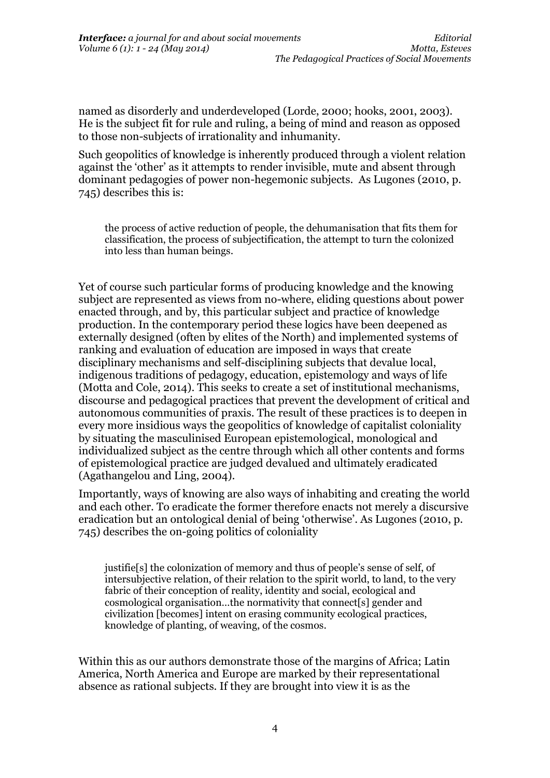named as disorderly and underdeveloped (Lorde, 2000; hooks, 2001, 2003). He is the subject fit for rule and ruling, a being of mind and reason as opposed to those non-subjects of irrationality and inhumanity.

Such geopolitics of knowledge is inherently produced through a violent relation against the 'other' as it attempts to render invisible, mute and absent through dominant pedagogies of power non-hegemonic subjects. As Lugones (2010, p. 745) describes this is:

the process of active reduction of people, the dehumanisation that fits them for classification, the process of subjectification, the attempt to turn the colonized into less than human beings.

Yet of course such particular forms of producing knowledge and the knowing subject are represented as views from no-where, eliding questions about power enacted through, and by, this particular subject and practice of knowledge production. In the contemporary period these logics have been deepened as externally designed (often by elites of the North) and implemented systems of ranking and evaluation of education are imposed in ways that create disciplinary mechanisms and self-disciplining subjects that devalue local, indigenous traditions of pedagogy, education, epistemology and ways of life (Motta and Cole, 2014). This seeks to create a set of institutional mechanisms, discourse and pedagogical practices that prevent the development of critical and autonomous communities of praxis. The result of these practices is to deepen in every more insidious ways the geopolitics of knowledge of capitalist coloniality by situating the masculinised European epistemological, monological and individualized subject as the centre through which all other contents and forms of epistemological practice are judged devalued and ultimately eradicated (Agathangelou and Ling, 2004).

Importantly, ways of knowing are also ways of inhabiting and creating the world and each other. To eradicate the former therefore enacts not merely a discursive eradication but an ontological denial of being 'otherwise'. As Lugones (2010, p. 745) describes the on-going politics of coloniality

justifie[s] the colonization of memory and thus of people's sense of self, of intersubjective relation, of their relation to the spirit world, to land, to the very fabric of their conception of reality, identity and social, ecological and cosmological organisation…the normativity that connect[s] gender and civilization [becomes] intent on erasing community ecological practices, knowledge of planting, of weaving, of the cosmos.

Within this as our authors demonstrate those of the margins of Africa; Latin America, North America and Europe are marked by their representational absence as rational subjects. If they are brought into view it is as the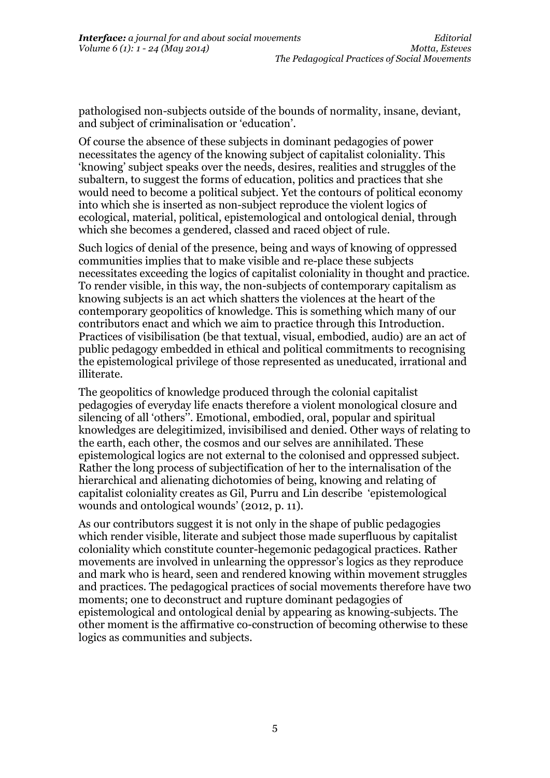pathologised non-subjects outside of the bounds of normality, insane, deviant, and subject of criminalisation or 'education'.

Of course the absence of these subjects in dominant pedagogies of power necessitates the agency of the knowing subject of capitalist coloniality. This 'knowing' subject speaks over the needs, desires, realities and struggles of the subaltern, to suggest the forms of education, politics and practices that she would need to become a political subject. Yet the contours of political economy into which she is inserted as non-subject reproduce the violent logics of ecological, material, political, epistemological and ontological denial, through which she becomes a gendered, classed and raced object of rule.

Such logics of denial of the presence, being and ways of knowing of oppressed communities implies that to make visible and re-place these subjects necessitates exceeding the logics of capitalist coloniality in thought and practice. To render visible, in this way, the non-subjects of contemporary capitalism as knowing subjects is an act which shatters the violences at the heart of the contemporary geopolitics of knowledge. This is something which many of our contributors enact and which we aim to practice through this Introduction. Practices of visibilisation (be that textual, visual, embodied, audio) are an act of public pedagogy embedded in ethical and political commitments to recognising the epistemological privilege of those represented as uneducated, irrational and illiterate.

The geopolitics of knowledge produced through the colonial capitalist pedagogies of everyday life enacts therefore a violent monological closure and silencing of all 'others''. Emotional, embodied, oral, popular and spiritual knowledges are delegitimized, invisibilised and denied. Other ways of relating to the earth, each other, the cosmos and our selves are annihilated. These epistemological logics are not external to the colonised and oppressed subject. Rather the long process of subjectification of her to the internalisation of the hierarchical and alienating dichotomies of being, knowing and relating of capitalist coloniality creates as Gil, Purru and Lin describe 'epistemological wounds and ontological wounds' (2012, p. 11).

As our contributors suggest it is not only in the shape of public pedagogies which render visible, literate and subject those made superfluous by capitalist coloniality which constitute counter-hegemonic pedagogical practices. Rather movements are involved in unlearning the oppressor's logics as they reproduce and mark who is heard, seen and rendered knowing within movement struggles and practices. The pedagogical practices of social movements therefore have two moments; one to deconstruct and rupture dominant pedagogies of epistemological and ontological denial by appearing as knowing-subjects. The other moment is the affirmative co-construction of becoming otherwise to these logics as communities and subjects.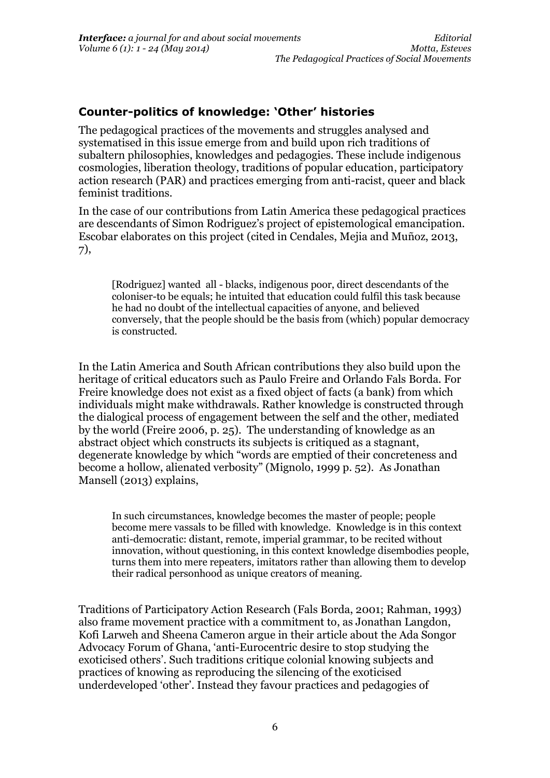## **Counter-politics of knowledge: 'Other' histories**

The pedagogical practices of the movements and struggles analysed and systematised in this issue emerge from and build upon rich traditions of subaltern philosophies, knowledges and pedagogies. These include indigenous cosmologies, liberation theology, traditions of popular education, participatory action research (PAR) and practices emerging from anti-racist, queer and black feminist traditions.

In the case of our contributions from Latin America these pedagogical practices are descendants of Simon Rodriguez's project of epistemological emancipation. Escobar elaborates on this project (cited in Cendales, Mejia and Muñoz, 2013, 7),

[Rodriguez] wanted all - blacks, indigenous poor, direct descendants of the coloniser-to be equals; he intuited that education could fulfil this task because he had no doubt of the intellectual capacities of anyone, and believed conversely, that the people should be the basis from (which) popular democracy is constructed.

In the Latin America and South African contributions they also build upon the heritage of critical educators such as Paulo Freire and Orlando Fals Borda. For Freire knowledge does not exist as a fixed object of facts (a bank) from which individuals might make withdrawals. Rather knowledge is constructed through the dialogical process of engagement between the self and the other, mediated by the world (Freire 2006, p. 25). The understanding of knowledge as an abstract object which constructs its subjects is critiqued as a stagnant, degenerate knowledge by which "words are emptied of their concreteness and become a hollow, alienated verbosity" (Mignolo, 1999 p. 52). As Jonathan Mansell (2013) explains,

In such circumstances, knowledge becomes the master of people; people become mere vassals to be filled with knowledge. Knowledge is in this context anti-democratic: distant, remote, imperial grammar, to be recited without innovation, without questioning, in this context knowledge disembodies people, turns them into mere repeaters, imitators rather than allowing them to develop their radical personhood as unique creators of meaning.

Traditions of Participatory Action Research (Fals Borda, 2001; Rahman, 1993) also frame movement practice with a commitment to, as Jonathan Langdon, Kofi Larweh and Sheena Cameron argue in their article about the Ada Songor Advocacy Forum of Ghana, 'anti-Eurocentric desire to stop studying the exoticised others'. Such traditions critique colonial knowing subjects and practices of knowing as reproducing the silencing of the exoticised underdeveloped 'other'. Instead they favour practices and pedagogies of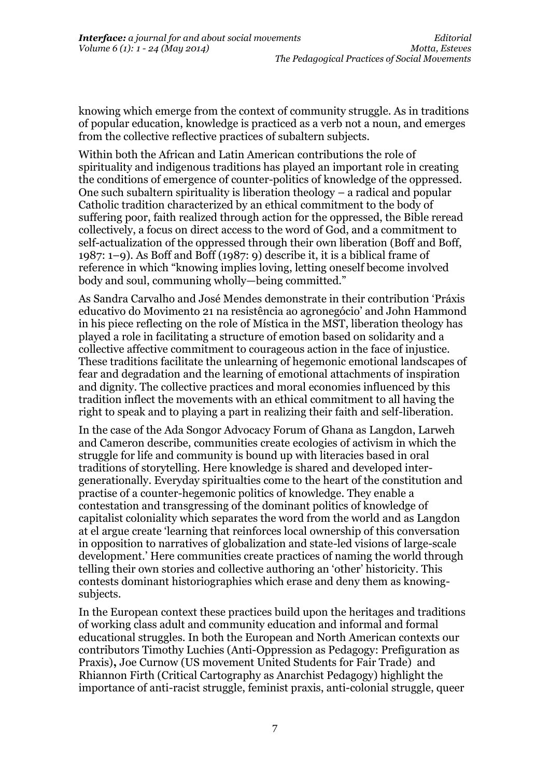knowing which emerge from the context of community struggle. As in traditions of popular education, knowledge is practiced as a verb not a noun, and emerges from the collective reflective practices of subaltern subjects.

Within both the African and Latin American contributions the role of spirituality and indigenous traditions has played an important role in creating the conditions of emergence of counter-politics of knowledge of the oppressed. One such subaltern spirituality is liberation theology – a radical and popular Catholic tradition characterized by an ethical commitment to the body of suffering poor, faith realized through action for the oppressed, the Bible reread collectively, a focus on direct access to the word of God, and a commitment to self-actualization of the oppressed through their own liberation (Boff and Boff, 1987: 1–9). As Boff and Boff (1987: 9) describe it, it is a biblical frame of reference in which "knowing implies loving, letting oneself become involved body and soul, communing wholly—being committed."

As Sandra Carvalho and José Mendes demonstrate in their contribution 'Práxis educativo do Movimento 21 na resistência ao agronegócio' and John Hammond in his piece reflecting on the role of Mística in the MST, liberation theology has played a role in facilitating a structure of emotion based on solidarity and a collective affective commitment to courageous action in the face of injustice. These traditions facilitate the unlearning of hegemonic emotional landscapes of fear and degradation and the learning of emotional attachments of inspiration and dignity. The collective practices and moral economies influenced by this tradition inflect the movements with an ethical commitment to all having the right to speak and to playing a part in realizing their faith and self-liberation.

In the case of the Ada Songor Advocacy Forum of Ghana as Langdon, Larweh and Cameron describe, communities create ecologies of activism in which the struggle for life and community is bound up with literacies based in oral traditions of storytelling. Here knowledge is shared and developed intergenerationally. Everyday spiritualties come to the heart of the constitution and practise of a counter-hegemonic politics of knowledge. They enable a contestation and transgressing of the dominant politics of knowledge of capitalist coloniality which separates the word from the world and as Langdon at el argue create 'learning that reinforces local ownership of this conversation in opposition to narratives of globalization and state-led visions of large-scale development.' Here communities create practices of naming the world through telling their own stories and collective authoring an 'other' historicity. This contests dominant historiographies which erase and deny them as knowingsubjects.

In the European context these practices build upon the heritages and traditions of working class adult and community education and informal and formal educational struggles. In both the European and North American contexts our contributors Timothy Luchies (Anti-Oppression as Pedagogy: Prefiguration as Praxis)**,** Joe Curnow (US movement United Students for Fair Trade) and Rhiannon Firth (Critical Cartography as Anarchist Pedagogy) highlight the importance of anti-racist struggle, feminist praxis, anti-colonial struggle, queer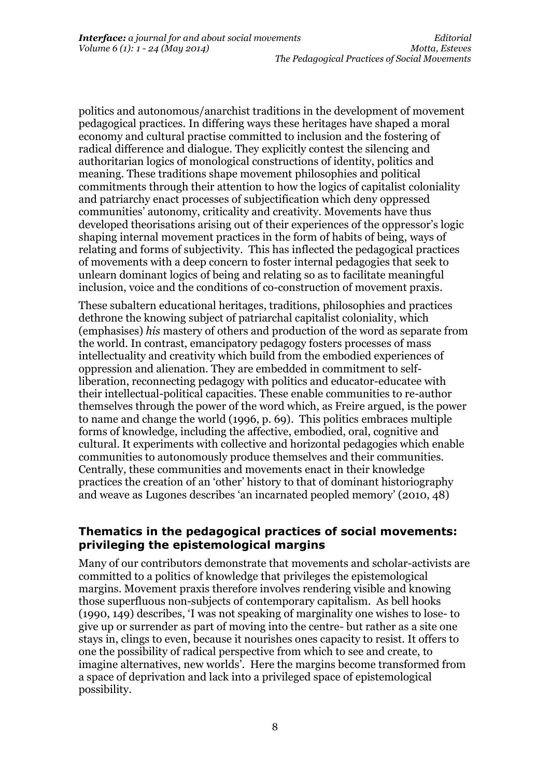politics and autonomous/anarchist traditions in the development of movement pedagogical practices. In differing ways these heritages have shaped a moral economy and cultural practise committed to inclusion and the fostering of radical difference and dialogue. They explicitly contest the silencing and authoritarian logics of monological constructions of identity, politics and meaning. These traditions shape movement philosophies and political commitments through their attention to how the logics of capitalist coloniality and patriarchy enact processes of subjectification which deny oppressed communities' autonomy, criticality and creativity. Movements have thus developed theorisations arising out of their experiences of the oppressor's logic shaping internal movement practices in the form of habits of being, ways of relating and forms of subjectivity. This has inflected the pedagogical practices of movements with a deep concern to foster internal pedagogies that seek to unlearn dominant logics of being and relating so as to facilitate meaningful inclusion, voice and the conditions of co-construction of movement praxis.

These subaltern educational heritages, traditions, philosophies and practices dethrone the knowing subject of patriarchal capitalist coloniality, which (emphasises) *his* mastery of others and production of the word as separate from the world. In contrast, emancipatory pedagogy fosters processes of mass intellectuality and creativity which build from the embodied experiences of oppression and alienation. They are embedded in commitment to selfliberation, reconnecting pedagogy with politics and educator-educatee with their intellectual-political capacities. These enable communities to re-author themselves through the power of the word which, as Freire argued, is the power to name and change the world (1996, p. 69). This politics embraces multiple forms of knowledge, including the affective, embodied, oral, cognitive and cultural. It experiments with collective and horizontal pedagogies which enable communities to autonomously produce themselves and their communities. Centrally, these communities and movements enact in their knowledge practices the creation of an 'other' history to that of dominant historiography and weave as Lugones describes 'an incarnated peopled memory' (2010, 48)

### **Thematics in the pedagogical practices of social movements: privileging the epistemological margins**

Many of our contributors demonstrate that movements and scholar-activists are committed to a politics of knowledge that privileges the epistemological margins. Movement praxis therefore involves rendering visible and knowing those superfluous non-subjects of contemporary capitalism. As bell hooks (1990, 149) describes, 'I was not speaking of marginality one wishes to lose- to give up or surrender as part of moving into the centre- but rather as a site one stays in, clings to even, because it nourishes ones capacity to resist. It offers to one the possibility of radical perspective from which to see and create, to imagine alternatives, new worlds'. Here the margins become transformed from a space of deprivation and lack into a privileged space of epistemological possibility.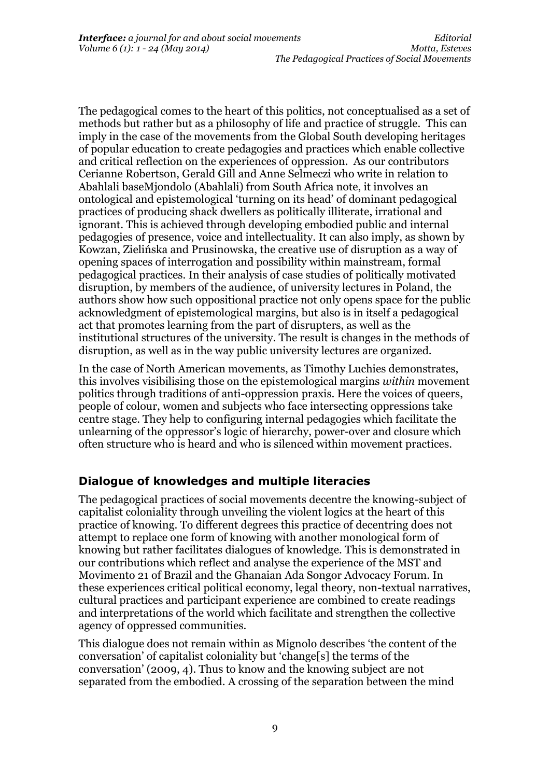The pedagogical comes to the heart of this politics, not conceptualised as a set of methods but rather but as a philosophy of life and practice of struggle. This can imply in the case of the movements from the Global South developing heritages of popular education to create pedagogies and practices which enable collective and critical reflection on the experiences of oppression. As our contributors Cerianne Robertson, Gerald Gill and Anne Selmeczi who write in relation to Abahlali baseMjondolo (Abahlali) from South Africa note, it involves an ontological and epistemological 'turning on its head' of dominant pedagogical practices of producing shack dwellers as politically illiterate, irrational and ignorant. This is achieved through developing embodied public and internal pedagogies of presence, voice and intellectuality. It can also imply, as shown by Kowzan, Zielińska and Prusinowska, the creative use of disruption as a way of opening spaces of interrogation and possibility within mainstream, formal pedagogical practices. In their analysis of case studies of politically motivated disruption, by members of the audience, of university lectures in Poland, the authors show how such oppositional practice not only opens space for the public acknowledgment of epistemological margins, but also is in itself a pedagogical act that promotes learning from the part of disrupters, as well as the institutional structures of the university. The result is changes in the methods of disruption, as well as in the way public university lectures are organized.

In the case of North American movements, as Timothy Luchies demonstrates, this involves visibilising those on the epistemological margins *within* movement politics through traditions of anti-oppression praxis. Here the voices of queers, people of colour, women and subjects who face intersecting oppressions take centre stage. They help to configuring internal pedagogies which facilitate the unlearning of the oppressor's logic of hierarchy, power-over and closure which often structure who is heard and who is silenced within movement practices.

# **Dialogue of knowledges and multiple literacies**

The pedagogical practices of social movements decentre the knowing-subject of capitalist coloniality through unveiling the violent logics at the heart of this practice of knowing. To different degrees this practice of decentring does not attempt to replace one form of knowing with another monological form of knowing but rather facilitates dialogues of knowledge. This is demonstrated in our contributions which reflect and analyse the experience of the MST and Movimento 21 of Brazil and the Ghanaian Ada Songor Advocacy Forum. In these experiences critical political economy, legal theory, non-textual narratives, cultural practices and participant experience are combined to create readings and interpretations of the world which facilitate and strengthen the collective agency of oppressed communities.

This dialogue does not remain within as Mignolo describes 'the content of the conversation' of capitalist coloniality but 'change[s] the terms of the conversation' (2009, 4). Thus to know and the knowing subject are not separated from the embodied. A crossing of the separation between the mind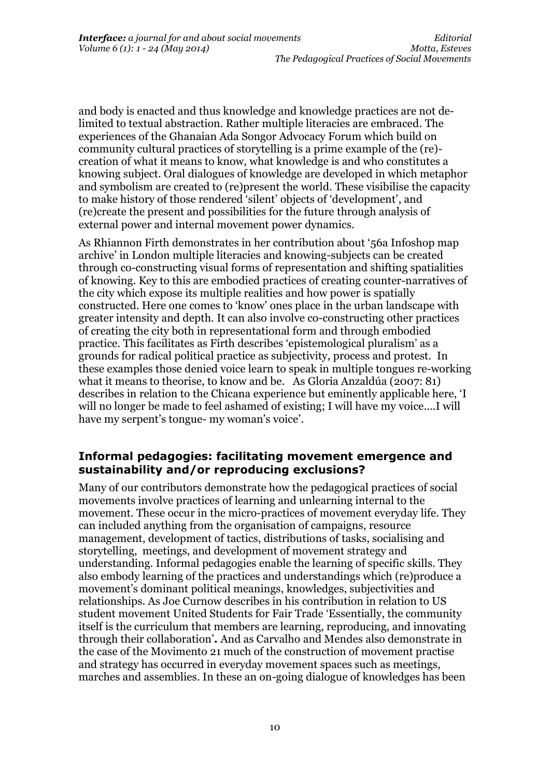and body is enacted and thus knowledge and knowledge practices are not delimited to textual abstraction. Rather multiple literacies are embraced. The experiences of the Ghanaian Ada Songor Advocacy Forum which build on community cultural practices of storytelling is a prime example of the (re) creation of what it means to know, what knowledge is and who constitutes a knowing subject. Oral dialogues of knowledge are developed in which metaphor and symbolism are created to (re)present the world. These visibilise the capacity to make history of those rendered 'silent' objects of 'development', and (re)create the present and possibilities for the future through analysis of external power and internal movement power dynamics.

As Rhiannon Firth demonstrates in her contribution about '56a Infoshop map archive' in London multiple literacies and knowing-subjects can be created through co-constructing visual forms of representation and shifting spatialities of knowing. Key to this are embodied practices of creating counter-narratives of the city which expose its multiple realities and how power is spatially constructed. Here one comes to 'know' ones place in the urban landscape with greater intensity and depth. It can also involve co-constructing other practices of creating the city both in representational form and through embodied practice. This facilitates as Firth describes 'epistemological pluralism' as a grounds for radical political practice as subjectivity, process and protest. In these examples those denied voice learn to speak in multiple tongues re-working what it means to theorise, to know and be. As Gloria Anzaldúa (2007: 81) describes in relation to the Chicana experience but eminently applicable here, 'I will no longer be made to feel ashamed of existing; I will have my voice….I will have my serpent's tongue- my woman's voice'.

### **Informal pedagogies: facilitating movement emergence and sustainability and/or reproducing exclusions?**

Many of our contributors demonstrate how the pedagogical practices of social movements involve practices of learning and unlearning internal to the movement. These occur in the micro-practices of movement everyday life. They can included anything from the organisation of campaigns, resource management, development of tactics, distributions of tasks, socialising and storytelling, meetings, and development of movement strategy and understanding. Informal pedagogies enable the learning of specific skills. They also embody learning of the practices and understandings which (re)produce a movement's dominant political meanings, knowledges, subjectivities and relationships. As Joe Curnow describes in his contribution in relation to US student movement United Students for Fair Trade 'Essentially, the community itself is the curriculum that members are learning, reproducing, and innovating through their collaboration'**.** And as Carvalho and Mendes also demonstrate in the case of the Movimento 21 much of the construction of movement practise and strategy has occurred in everyday movement spaces such as meetings, marches and assemblies. In these an on-going dialogue of knowledges has been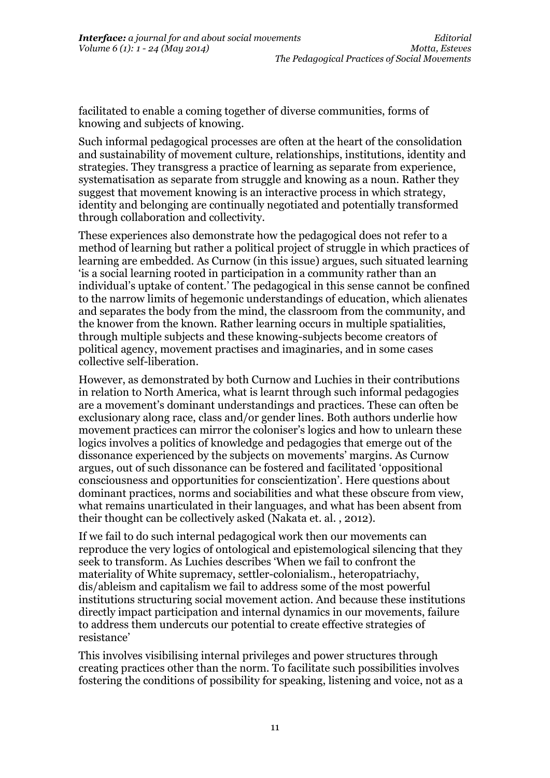facilitated to enable a coming together of diverse communities, forms of knowing and subjects of knowing.

Such informal pedagogical processes are often at the heart of the consolidation and sustainability of movement culture, relationships, institutions, identity and strategies. They transgress a practice of learning as separate from experience, systematisation as separate from struggle and knowing as a noun. Rather they suggest that movement knowing is an interactive process in which strategy, identity and belonging are continually negotiated and potentially transformed through collaboration and collectivity.

These experiences also demonstrate how the pedagogical does not refer to a method of learning but rather a political project of struggle in which practices of learning are embedded. As Curnow (in this issue) argues, such situated learning 'is a social learning rooted in participation in a community rather than an individual's uptake of content.' The pedagogical in this sense cannot be confined to the narrow limits of hegemonic understandings of education, which alienates and separates the body from the mind, the classroom from the community, and the knower from the known. Rather learning occurs in multiple spatialities, through multiple subjects and these knowing-subjects become creators of political agency, movement practises and imaginaries, and in some cases collective self-liberation.

However, as demonstrated by both Curnow and Luchies in their contributions in relation to North America, what is learnt through such informal pedagogies are a movement's dominant understandings and practices. These can often be exclusionary along race, class and/or gender lines. Both authors underlie how movement practices can mirror the coloniser's logics and how to unlearn these logics involves a politics of knowledge and pedagogies that emerge out of the dissonance experienced by the subjects on movements' margins. As Curnow argues, out of such dissonance can be fostered and facilitated 'oppositional consciousness and opportunities for conscientization'. Here questions about dominant practices, norms and sociabilities and what these obscure from view, what remains unarticulated in their languages, and what has been absent from their thought can be collectively asked (Nakata et. al. , 2012).

If we fail to do such internal pedagogical work then our movements can reproduce the very logics of ontological and epistemological silencing that they seek to transform. As Luchies describes 'When we fail to confront the materiality of White supremacy, settler-colonialism., heteropatriachy, dis/ableism and capitalism we fail to address some of the most powerful institutions structuring social movement action. And because these institutions directly impact participation and internal dynamics in our movements, failure to address them undercuts our potential to create effective strategies of resistance'

This involves visibilising internal privileges and power structures through creating practices other than the norm. To facilitate such possibilities involves fostering the conditions of possibility for speaking, listening and voice, not as a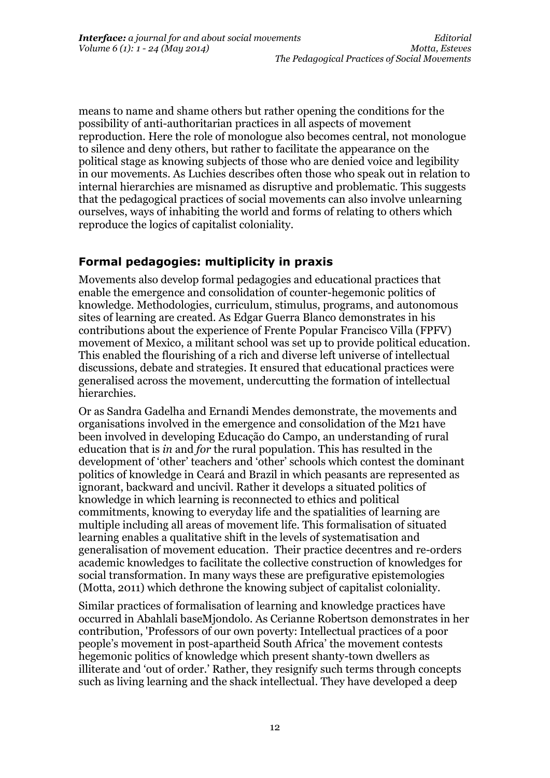means to name and shame others but rather opening the conditions for the possibility of anti-authoritarian practices in all aspects of movement reproduction. Here the role of monologue also becomes central, not monologue to silence and deny others, but rather to facilitate the appearance on the political stage as knowing subjects of those who are denied voice and legibility in our movements. As Luchies describes often those who speak out in relation to internal hierarchies are misnamed as disruptive and problematic. This suggests that the pedagogical practices of social movements can also involve unlearning ourselves, ways of inhabiting the world and forms of relating to others which reproduce the logics of capitalist coloniality.

# **Formal pedagogies: multiplicity in praxis**

Movements also develop formal pedagogies and educational practices that enable the emergence and consolidation of counter-hegemonic politics of knowledge. Methodologies, curriculum, stimulus, programs, and autonomous sites of learning are created. As Edgar Guerra Blanco demonstrates in his contributions about the experience of Frente Popular Francisco Villa (FPFV) movement of Mexico, a militant school was set up to provide political education. This enabled the flourishing of a rich and diverse left universe of intellectual discussions, debate and strategies. It ensured that educational practices were generalised across the movement, undercutting the formation of intellectual hierarchies.

Or as Sandra Gadelha and Ernandi Mendes demonstrate, the movements and organisations involved in the emergence and consolidation of the M21 have been involved in developing Educação do Campo, an understanding of rural education that is *in* and *for* the rural population. This has resulted in the development of 'other' teachers and 'other' schools which contest the dominant politics of knowledge in Ceará and Brazil in which peasants are represented as ignorant, backward and uncivil. Rather it develops a situated politics of knowledge in which learning is reconnected to ethics and political commitments, knowing to everyday life and the spatialities of learning are multiple including all areas of movement life. This formalisation of situated learning enables a qualitative shift in the levels of systematisation and generalisation of movement education. Their practice decentres and re-orders academic knowledges to facilitate the collective construction of knowledges for social transformation. In many ways these are prefigurative epistemologies (Motta, 2011) which dethrone the knowing subject of capitalist coloniality.

Similar practices of formalisation of learning and knowledge practices have occurred in Abahlali baseMjondolo. As Cerianne Robertson demonstrates in her contribution, 'Professors of our own poverty: Intellectual practices of a poor people's movement in post-apartheid South Africa' the movement contests hegemonic politics of knowledge which present shanty-town dwellers as illiterate and 'out of order.' Rather, they resignify such terms through concepts such as living learning and the shack intellectual. They have developed a deep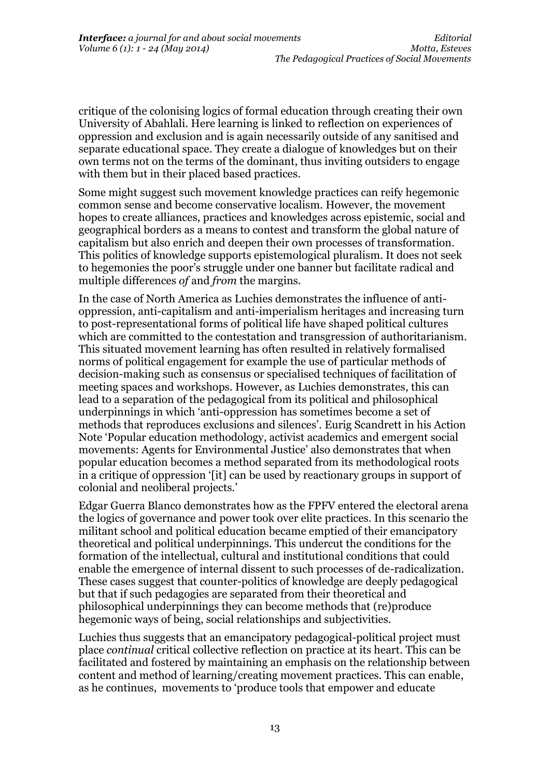critique of the colonising logics of formal education through creating their own University of Abahlali. Here learning is linked to reflection on experiences of oppression and exclusion and is again necessarily outside of any sanitised and separate educational space. They create a dialogue of knowledges but on their own terms not on the terms of the dominant, thus inviting outsiders to engage with them but in their placed based practices.

Some might suggest such movement knowledge practices can reify hegemonic common sense and become conservative localism. However, the movement hopes to create alliances, practices and knowledges across epistemic, social and geographical borders as a means to contest and transform the global nature of capitalism but also enrich and deepen their own processes of transformation. This politics of knowledge supports epistemological pluralism. It does not seek to hegemonies the poor's struggle under one banner but facilitate radical and multiple differences *of* and *from* the margins.

In the case of North America as Luchies demonstrates the influence of antioppression, anti-capitalism and anti-imperialism heritages and increasing turn to post-representational forms of political life have shaped political cultures which are committed to the contestation and transgression of authoritarianism. This situated movement learning has often resulted in relatively formalised norms of political engagement for example the use of particular methods of decision-making such as consensus or specialised techniques of facilitation of meeting spaces and workshops. However, as Luchies demonstrates, this can lead to a separation of the pedagogical from its political and philosophical underpinnings in which 'anti-oppression has sometimes become a set of methods that reproduces exclusions and silences'. Eurig Scandrett in his Action Note 'Popular education methodology, activist academics and emergent social movements: Agents for Environmental Justice' also demonstrates that when popular education becomes a method separated from its methodological roots in a critique of oppression '[it] can be used by reactionary groups in support of colonial and neoliberal projects.'

Edgar Guerra Blanco demonstrates how as the FPFV entered the electoral arena the logics of governance and power took over elite practices. In this scenario the militant school and political education became emptied of their emancipatory theoretical and political underpinnings. This undercut the conditions for the formation of the intellectual, cultural and institutional conditions that could enable the emergence of internal dissent to such processes of de-radicalization. These cases suggest that counter-politics of knowledge are deeply pedagogical but that if such pedagogies are separated from their theoretical and philosophical underpinnings they can become methods that (re)produce hegemonic ways of being, social relationships and subjectivities.

Luchies thus suggests that an emancipatory pedagogical-political project must place *continual* critical collective reflection on practice at its heart. This can be facilitated and fostered by maintaining an emphasis on the relationship between content and method of learning/creating movement practices. This can enable, as he continues, movements to 'produce tools that empower and educate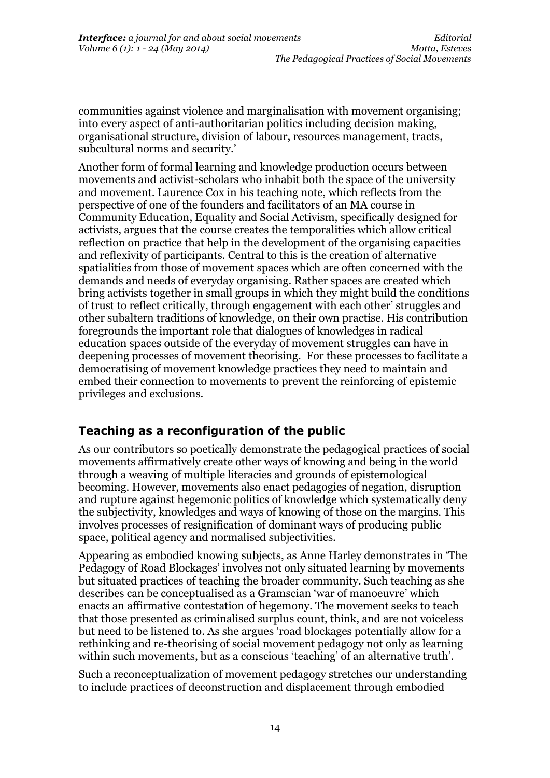communities against violence and marginalisation with movement organising; into every aspect of anti-authoritarian politics including decision making, organisational structure, division of labour, resources management, tracts, subcultural norms and security.'

Another form of formal learning and knowledge production occurs between movements and activist-scholars who inhabit both the space of the university and movement. Laurence Cox in his teaching note, which reflects from the perspective of one of the founders and facilitators of an MA course in Community Education, Equality and Social Activism, specifically designed for activists, argues that the course creates the temporalities which allow critical reflection on practice that help in the development of the organising capacities and reflexivity of participants. Central to this is the creation of alternative spatialities from those of movement spaces which are often concerned with the demands and needs of everyday organising. Rather spaces are created which bring activists together in small groups in which they might build the conditions of trust to reflect critically, through engagement with each other' struggles and other subaltern traditions of knowledge, on their own practise. His contribution foregrounds the important role that dialogues of knowledges in radical education spaces outside of the everyday of movement struggles can have in deepening processes of movement theorising. For these processes to facilitate a democratising of movement knowledge practices they need to maintain and embed their connection to movements to prevent the reinforcing of epistemic privileges and exclusions.

# **Teaching as a reconfiguration of the public**

As our contributors so poetically demonstrate the pedagogical practices of social movements affirmatively create other ways of knowing and being in the world through a weaving of multiple literacies and grounds of epistemological becoming. However, movements also enact pedagogies of negation, disruption and rupture against hegemonic politics of knowledge which systematically deny the subjectivity, knowledges and ways of knowing of those on the margins. This involves processes of resignification of dominant ways of producing public space, political agency and normalised subjectivities.

Appearing as embodied knowing subjects, as Anne Harley demonstrates in 'The Pedagogy of Road Blockages' involves not only situated learning by movements but situated practices of teaching the broader community. Such teaching as she describes can be conceptualised as a Gramscian 'war of manoeuvre' which enacts an affirmative contestation of hegemony. The movement seeks to teach that those presented as criminalised surplus count, think, and are not voiceless but need to be listened to. As she argues 'road blockages potentially allow for a rethinking and re-theorising of social movement pedagogy not only as learning within such movements, but as a conscious 'teaching' of an alternative truth'.

Such a reconceptualization of movement pedagogy stretches our understanding to include practices of deconstruction and displacement through embodied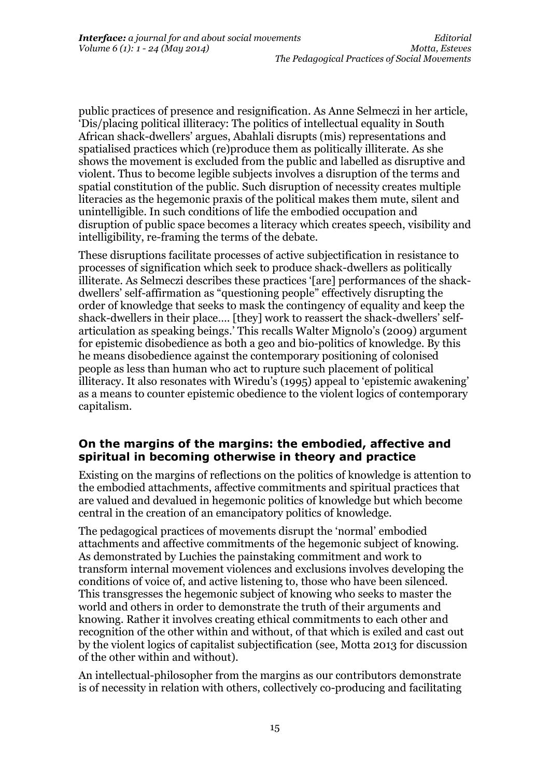public practices of presence and resignification. As Anne Selmeczi in her article, 'Dis/placing political illiteracy: The politics of intellectual equality in South African shack-dwellers' argues, Abahlali disrupts (mis) representations and spatialised practices which (re)produce them as politically illiterate. As she shows the movement is excluded from the public and labelled as disruptive and violent. Thus to become legible subjects involves a disruption of the terms and spatial constitution of the public. Such disruption of necessity creates multiple literacies as the hegemonic praxis of the political makes them mute, silent and unintelligible. In such conditions of life the embodied occupation and disruption of public space becomes a literacy which creates speech, visibility and intelligibility, re-framing the terms of the debate.

These disruptions facilitate processes of active subjectification in resistance to processes of signification which seek to produce shack-dwellers as politically illiterate. As Selmeczi describes these practices '[are] performances of the shackdwellers' self-affirmation as "questioning people" effectively disrupting the order of knowledge that seeks to mask the contingency of equality and keep the shack-dwellers in their place…. [they] work to reassert the shack-dwellers' selfarticulation as speaking beings.' This recalls Walter Mignolo's (2009) argument for epistemic disobedience as both a geo and bio-politics of knowledge. By this he means disobedience against the contemporary positioning of colonised people as less than human who act to rupture such placement of political illiteracy. It also resonates with Wiredu's (1995) appeal to 'epistemic awakening' as a means to counter epistemic obedience to the violent logics of contemporary capitalism.

### **On the margins of the margins: the embodied, affective and spiritual in becoming otherwise in theory and practice**

Existing on the margins of reflections on the politics of knowledge is attention to the embodied attachments, affective commitments and spiritual practices that are valued and devalued in hegemonic politics of knowledge but which become central in the creation of an emancipatory politics of knowledge.

The pedagogical practices of movements disrupt the 'normal' embodied attachments and affective commitments of the hegemonic subject of knowing. As demonstrated by Luchies the painstaking commitment and work to transform internal movement violences and exclusions involves developing the conditions of voice of, and active listening to, those who have been silenced. This transgresses the hegemonic subject of knowing who seeks to master the world and others in order to demonstrate the truth of their arguments and knowing. Rather it involves creating ethical commitments to each other and recognition of the other within and without, of that which is exiled and cast out by the violent logics of capitalist subjectification (see, Motta 2013 for discussion of the other within and without).

An intellectual-philosopher from the margins as our contributors demonstrate is of necessity in relation with others, collectively co-producing and facilitating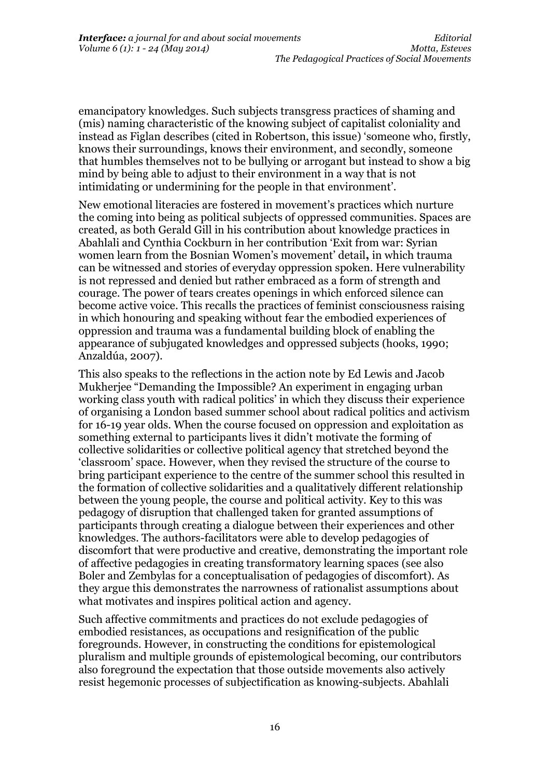emancipatory knowledges. Such subjects transgress practices of shaming and (mis) naming characteristic of the knowing subject of capitalist coloniality and instead as Figlan describes (cited in Robertson, this issue) 'someone who, firstly, knows their surroundings, knows their environment, and secondly, someone that humbles themselves not to be bullying or arrogant but instead to show a big mind by being able to adjust to their environment in a way that is not intimidating or undermining for the people in that environment'.

New emotional literacies are fostered in movement's practices which nurture the coming into being as political subjects of oppressed communities. Spaces are created, as both Gerald Gill in his contribution about knowledge practices in Abahlali and Cynthia Cockburn in her contribution 'Exit from war: Syrian women learn from the Bosnian Women's movement' detail**,** in which trauma can be witnessed and stories of everyday oppression spoken. Here vulnerability is not repressed and denied but rather embraced as a form of strength and courage. The power of tears creates openings in which enforced silence can become active voice. This recalls the practices of feminist consciousness raising in which honouring and speaking without fear the embodied experiences of oppression and trauma was a fundamental building block of enabling the appearance of subjugated knowledges and oppressed subjects (hooks, 1990; Anzaldúa, 2007).

This also speaks to the reflections in the action note by Ed Lewis and Jacob Mukherjee "Demanding the Impossible? An experiment in engaging urban working class youth with radical politics' in which they discuss their experience of organising a London based summer school about radical politics and activism for 16-19 year olds. When the course focused on oppression and exploitation as something external to participants lives it didn't motivate the forming of collective solidarities or collective political agency that stretched beyond the 'classroom' space. However, when they revised the structure of the course to bring participant experience to the centre of the summer school this resulted in the formation of collective solidarities and a qualitatively different relationship between the young people, the course and political activity. Key to this was pedagogy of disruption that challenged taken for granted assumptions of participants through creating a dialogue between their experiences and other knowledges. The authors-facilitators were able to develop pedagogies of discomfort that were productive and creative, demonstrating the important role of affective pedagogies in creating transformatory learning spaces (see also Boler and Zembylas for a conceptualisation of pedagogies of discomfort). As they argue this demonstrates the narrowness of rationalist assumptions about what motivates and inspires political action and agency.

Such affective commitments and practices do not exclude pedagogies of embodied resistances, as occupations and resignification of the public foregrounds. However, in constructing the conditions for epistemological pluralism and multiple grounds of epistemological becoming, our contributors also foreground the expectation that those outside movements also actively resist hegemonic processes of subjectification as knowing-subjects. Abahlali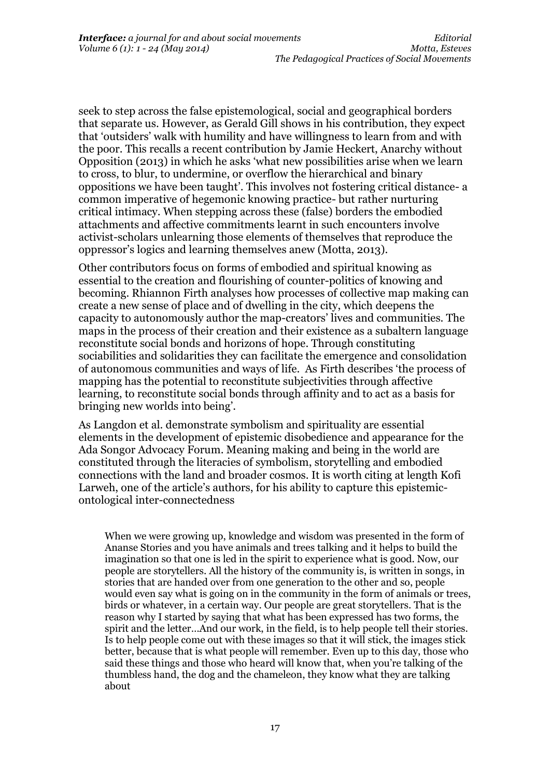seek to step across the false epistemological, social and geographical borders that separate us. However, as Gerald Gill shows in his contribution, they expect that 'outsiders' walk with humility and have willingness to learn from and with the poor. This recalls a recent contribution by Jamie Heckert, Anarchy without Opposition (2013) in which he asks 'what new possibilities arise when we learn to cross, to blur, to undermine, or overflow the hierarchical and binary oppositions we have been taught'. This involves not fostering critical distance- a common imperative of hegemonic knowing practice- but rather nurturing critical intimacy. When stepping across these (false) borders the embodied attachments and affective commitments learnt in such encounters involve activist-scholars unlearning those elements of themselves that reproduce the oppressor's logics and learning themselves anew (Motta, 2013).

Other contributors focus on forms of embodied and spiritual knowing as essential to the creation and flourishing of counter-politics of knowing and becoming. Rhiannon Firth analyses how processes of collective map making can create a new sense of place and of dwelling in the city, which deepens the capacity to autonomously author the map-creators' lives and communities. The maps in the process of their creation and their existence as a subaltern language reconstitute social bonds and horizons of hope. Through constituting sociabilities and solidarities they can facilitate the emergence and consolidation of autonomous communities and ways of life. As Firth describes 'the process of mapping has the potential to reconstitute subjectivities through affective learning, to reconstitute social bonds through affinity and to act as a basis for bringing new worlds into being'.

As Langdon et al. demonstrate symbolism and spirituality are essential elements in the development of epistemic disobedience and appearance for the Ada Songor Advocacy Forum. Meaning making and being in the world are constituted through the literacies of symbolism, storytelling and embodied connections with the land and broader cosmos. It is worth citing at length Kofi Larweh, one of the article's authors, for his ability to capture this epistemicontological inter-connectedness

When we were growing up, knowledge and wisdom was presented in the form of Ananse Stories and you have animals and trees talking and it helps to build the imagination so that one is led in the spirit to experience what is good. Now, our people are storytellers. All the history of the community is, is written in songs, in stories that are handed over from one generation to the other and so, people would even say what is going on in the community in the form of animals or trees, birds or whatever, in a certain way. Our people are great storytellers. That is the reason why I started by saying that what has been expressed has two forms, the spirit and the letter…And our work, in the field, is to help people tell their stories. Is to help people come out with these images so that it will stick, the images stick better, because that is what people will remember. Even up to this day, those who said these things and those who heard will know that, when you're talking of the thumbless hand, the dog and the chameleon, they know what they are talking about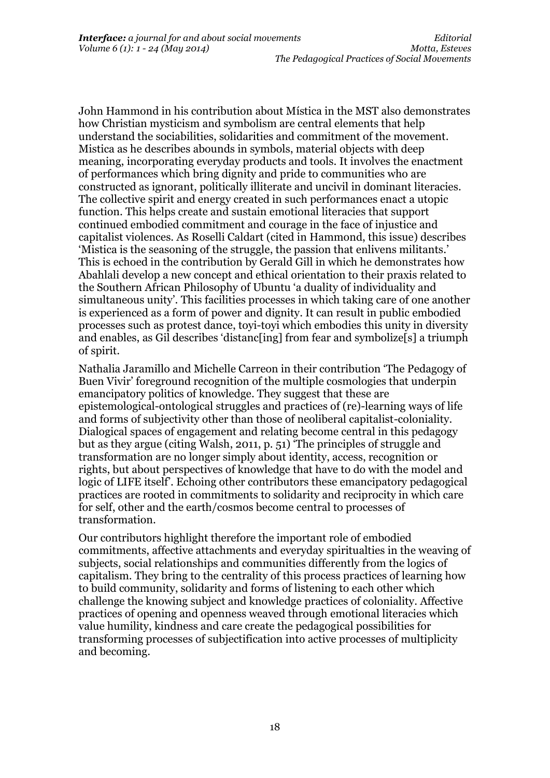John Hammond in his contribution about Mística in the MST also demonstrates how Christian mysticism and symbolism are central elements that help understand the sociabilities, solidarities and commitment of the movement. Mistica as he describes abounds in symbols, material objects with deep meaning, incorporating everyday products and tools. It involves the enactment of performances which bring dignity and pride to communities who are constructed as ignorant, politically illiterate and uncivil in dominant literacies. The collective spirit and energy created in such performances enact a utopic function. This helps create and sustain emotional literacies that support continued embodied commitment and courage in the face of injustice and capitalist violences. As Roselli Caldart (cited in Hammond, this issue) describes 'Mistica is the seasoning of the struggle, the passion that enlivens militants.' This is echoed in the contribution by Gerald Gill in which he demonstrates how Abahlali develop a new concept and ethical orientation to their praxis related to the Southern African Philosophy of Ubuntu 'a duality of individuality and simultaneous unity'. This facilities processes in which taking care of one another is experienced as a form of power and dignity. It can result in public embodied processes such as protest dance, toyi-toyi which embodies this unity in diversity and enables, as Gil describes 'distanc[ing] from fear and symbolize[s] a triumph of spirit.

Nathalia Jaramillo and Michelle Carreon in their contribution 'The Pedagogy of Buen Vivir' foreground recognition of the multiple cosmologies that underpin emancipatory politics of knowledge. They suggest that these are epistemological-ontological struggles and practices of (re)-learning ways of life and forms of subjectivity other than those of neoliberal capitalist-coloniality. Dialogical spaces of engagement and relating become central in this pedagogy but as they argue (citing Walsh, 2011, p. 51) 'The principles of struggle and transformation are no longer simply about identity, access, recognition or rights, but about perspectives of knowledge that have to do with the model and logic of LIFE itself'. Echoing other contributors these emancipatory pedagogical practices are rooted in commitments to solidarity and reciprocity in which care for self, other and the earth/cosmos become central to processes of transformation.

Our contributors highlight therefore the important role of embodied commitments, affective attachments and everyday spiritualties in the weaving of subjects, social relationships and communities differently from the logics of capitalism. They bring to the centrality of this process practices of learning how to build community, solidarity and forms of listening to each other which challenge the knowing subject and knowledge practices of coloniality. Affective practices of opening and openness weaved through emotional literacies which value humility, kindness and care create the pedagogical possibilities for transforming processes of subjectification into active processes of multiplicity and becoming.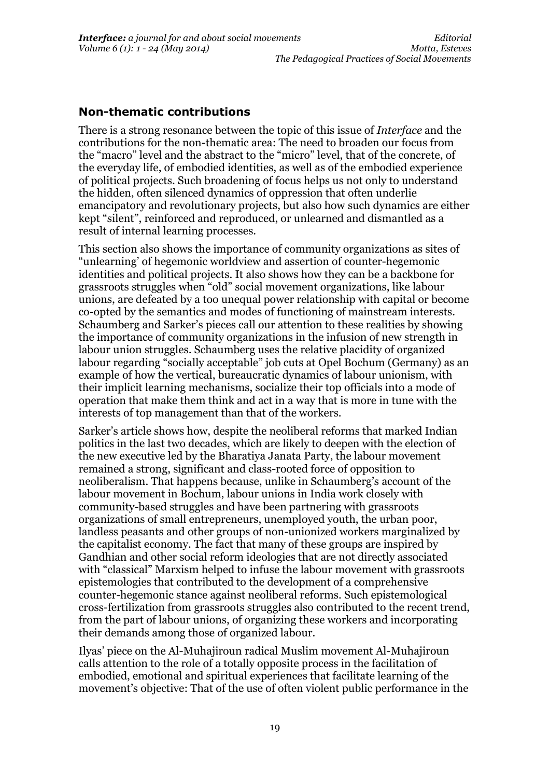### **Non-thematic contributions**

There is a strong resonance between the topic of this issue of *Interface* and the contributions for the non-thematic area: The need to broaden our focus from the "macro" level and the abstract to the "micro" level, that of the concrete, of the everyday life, of embodied identities, as well as of the embodied experience of political projects. Such broadening of focus helps us not only to understand the hidden, often silenced dynamics of oppression that often underlie emancipatory and revolutionary projects, but also how such dynamics are either kept "silent", reinforced and reproduced, or unlearned and dismantled as a result of internal learning processes.

This section also shows the importance of community organizations as sites of "unlearning' of hegemonic worldview and assertion of counter-hegemonic identities and political projects. It also shows how they can be a backbone for grassroots struggles when "old" social movement organizations, like labour unions, are defeated by a too unequal power relationship with capital or become co-opted by the semantics and modes of functioning of mainstream interests. Schaumberg and Sarker's pieces call our attention to these realities by showing the importance of community organizations in the infusion of new strength in labour union struggles. Schaumberg uses the relative placidity of organized labour regarding "socially acceptable" job cuts at Opel Bochum (Germany) as an example of how the vertical, bureaucratic dynamics of labour unionism, with their implicit learning mechanisms, socialize their top officials into a mode of operation that make them think and act in a way that is more in tune with the interests of top management than that of the workers.

Sarker's article shows how, despite the neoliberal reforms that marked Indian politics in the last two decades, which are likely to deepen with the election of the new executive led by the Bharatiya Janata Party, the labour movement remained a strong, significant and class-rooted force of opposition to neoliberalism. That happens because, unlike in Schaumberg's account of the labour movement in Bochum, labour unions in India work closely with community-based struggles and have been partnering with grassroots organizations of small entrepreneurs, unemployed youth, the urban poor, landless peasants and other groups of non-unionized workers marginalized by the capitalist economy. The fact that many of these groups are inspired by Gandhian and other social reform ideologies that are not directly associated with "classical" Marxism helped to infuse the labour movement with grassroots epistemologies that contributed to the development of a comprehensive counter-hegemonic stance against neoliberal reforms. Such epistemological cross-fertilization from grassroots struggles also contributed to the recent trend, from the part of labour unions, of organizing these workers and incorporating their demands among those of organized labour.

Ilyas' piece on the Al-Muhajiroun radical Muslim movement Al-Muhajiroun calls attention to the role of a totally opposite process in the facilitation of embodied, emotional and spiritual experiences that facilitate learning of the movement's objective: That of the use of often violent public performance in the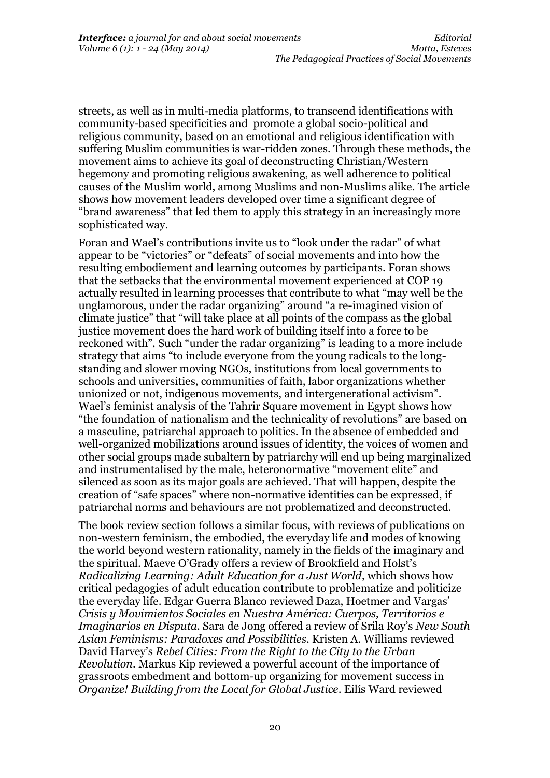streets, as well as in multi-media platforms, to transcend identifications with community-based specificities and promote a global socio-political and religious community, based on an emotional and religious identification with suffering Muslim communities is war-ridden zones. Through these methods, the movement aims to achieve its goal of deconstructing Christian/Western hegemony and promoting religious awakening, as well adherence to political causes of the Muslim world, among Muslims and non-Muslims alike. The article shows how movement leaders developed over time a significant degree of "brand awareness" that led them to apply this strategy in an increasingly more sophisticated way.

Foran and Wael's contributions invite us to "look under the radar" of what appear to be "victories" or "defeats" of social movements and into how the resulting embodiement and learning outcomes by participants. Foran shows that the setbacks that the environmental movement experienced at COP 19 actually resulted in learning processes that contribute to what "may well be the unglamorous, under the radar organizing" around "a re-imagined vision of climate justice" that "will take place at all points of the compass as the global justice movement does the hard work of building itself into a force to be reckoned with". Such "under the radar organizing" is leading to a more include strategy that aims "to include everyone from the young radicals to the longstanding and slower moving NGOs, institutions from local governments to schools and universities, communities of faith, labor organizations whether unionized or not, indigenous movements, and intergenerational activism". Wael's feminist analysis of the Tahrir Square movement in Egypt shows how "the foundation of nationalism and the technicality of revolutions" are based on a masculine, patriarchal approach to politics. In the absence of embedded and well-organized mobilizations around issues of identity, the voices of women and other social groups made subaltern by patriarchy will end up being marginalized and instrumentalised by the male, heteronormative "movement elite" and silenced as soon as its major goals are achieved. That will happen, despite the creation of "safe spaces" where non-normative identities can be expressed, if patriarchal norms and behaviours are not problematized and deconstructed.

The book review section follows a similar focus, with reviews of publications on non-western feminism, the embodied, the everyday life and modes of knowing the world beyond western rationality, namely in the fields of the imaginary and the spiritual. Maeve O'Grady offers a review of Brookfield and Holst's *Radicalizing Learning: Adult Education for a Just World*, which shows how critical pedagogies of adult education contribute to problematize and politicize the everyday life. Edgar Guerra Blanco reviewed Daza, Hoetmer and Vargas' *Crisis y Movimientos Sociales en Nuestra América: Cuerpos, Territorios e Imaginarios en Disputa*. Sara de Jong offered a review of Srila Roy's *New South Asian Feminisms: Paradoxes and Possibilities*. Kristen A. Williams reviewed David Harvey's *Rebel Cities: From the Right to the City to the Urban Revolution*. Markus Kip reviewed a powerful account of the importance of grassroots embedment and bottom-up organizing for movement success in *Organize! Building from the Local for Global Justice*. Eilís Ward reviewed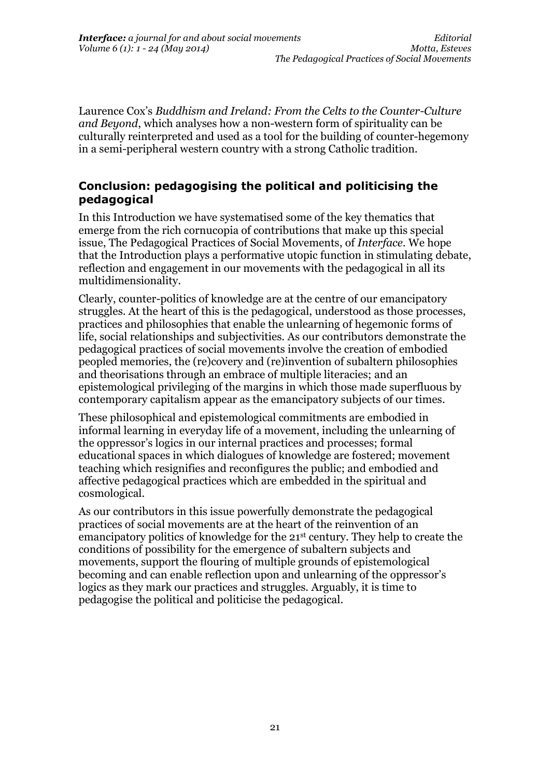Laurence Cox's *Buddhism and Ireland: From the Celts to the Counter-Culture and Beyond*, which analyses how a non-western form of spirituality can be culturally reinterpreted and used as a tool for the building of counter-hegemony in a semi-peripheral western country with a strong Catholic tradition.

### **Conclusion: pedagogising the political and politicising the pedagogical**

In this Introduction we have systematised some of the key thematics that emerge from the rich cornucopia of contributions that make up this special issue, The Pedagogical Practices of Social Movements, of *Interface*. We hope that the Introduction plays a performative utopic function in stimulating debate, reflection and engagement in our movements with the pedagogical in all its multidimensionality.

Clearly, counter-politics of knowledge are at the centre of our emancipatory struggles. At the heart of this is the pedagogical, understood as those processes, practices and philosophies that enable the unlearning of hegemonic forms of life, social relationships and subjectivities. As our contributors demonstrate the pedagogical practices of social movements involve the creation of embodied peopled memories, the (re)covery and (re)invention of subaltern philosophies and theorisations through an embrace of multiple literacies; and an epistemological privileging of the margins in which those made superfluous by contemporary capitalism appear as the emancipatory subjects of our times.

These philosophical and epistemological commitments are embodied in informal learning in everyday life of a movement, including the unlearning of the oppressor's logics in our internal practices and processes; formal educational spaces in which dialogues of knowledge are fostered; movement teaching which resignifies and reconfigures the public; and embodied and affective pedagogical practices which are embedded in the spiritual and cosmological.

As our contributors in this issue powerfully demonstrate the pedagogical practices of social movements are at the heart of the reinvention of an emancipatory politics of knowledge for the 21st century. They help to create the conditions of possibility for the emergence of subaltern subjects and movements, support the flouring of multiple grounds of epistemological becoming and can enable reflection upon and unlearning of the oppressor's logics as they mark our practices and struggles. Arguably, it is time to pedagogise the political and politicise the pedagogical.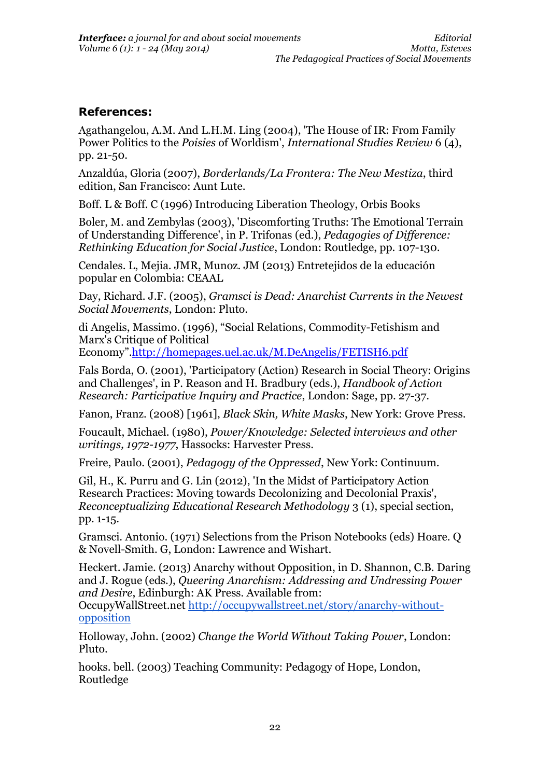### **References:**

Agathangelou, A.M. And L.H.M. Ling (2004), 'The House of IR: From Family Power Politics to the *Poisies* of Worldism', *International Studies Review* 6 (4), pp. 21-50.

Anzaldúa, Gloria (2007), *Borderlands/La Frontera: The New Mestiza*, third edition, San Francisco: Aunt Lute.

Boff. L & Boff. C (1996) Introducing Liberation Theology, Orbis Books

Boler, M. and Zembylas (2003), 'Discomforting Truths: The Emotional Terrain of Understanding Difference', in P. Trifonas (ed.), *Pedagogies of Difference: Rethinking Education for Social Justice*, London: Routledge, pp. 107-130.

Cendales. L, Mejia. JMR, Munoz. JM (2013) Entretejidos de la educación popular en Colombia: CEAAL

Day, Richard. J.F. (2005), *Gramsci is Dead: Anarchist Currents in the Newest Social Movements*, London: Pluto.

di Angelis, Massimo. (1996), "Social Relations, Commodity-Fetishism and Marx's Critique of Political

Economy".<http://homepages.uel.ac.uk/M.DeAngelis/FETISH6.pdf>

Fals Borda, O. (2001), 'Participatory (Action) Research in Social Theory: Origins and Challenges', in P. Reason and H. Bradbury (eds.), *Handbook of Action Research: Participative Inquiry and Practice*, London: Sage, pp. 27-37.

Fanon, Franz. (2008) [1961], *Black Skin, White Masks*, New York: Grove Press.

Foucault, Michael. (1980), *Power/Knowledge: Selected interviews and other writings, 1972-1977*, Hassocks: Harvester Press.

Freire, Paulo. (2001), *Pedagogy of the Oppressed*, New York: Continuum.

Gil, H., K. Purru and G. Lin (2012), 'In the Midst of Participatory Action Research Practices: Moving towards Decolonizing and Decolonial Praxis', *Reconceptualizing Educational Research Methodology* 3 (1), special section, pp. 1-15.

Gramsci. Antonio. (1971) Selections from the Prison Notebooks (eds) Hoare. Q & Novell-Smith. G, London: Lawrence and Wishart.

Heckert. Jamie. (2013) Anarchy without Opposition, in D. Shannon, C.B. Daring and J. Rogue (eds.), *Queering Anarchism: Addressing and Undressing Power and Desire*, Edinburgh: AK Press. Available from:

OccupyWallStreet.net [http://occupywallstreet.net/story/anarchy-without](http://occupywallstreet.net/story/anarchy-without-opposition)[opposition](http://occupywallstreet.net/story/anarchy-without-opposition)

Holloway, John. (2002) *Change the World Without Taking Power*, London: Pluto.

hooks. bell. (2003) Teaching Community: Pedagogy of Hope, London, Routledge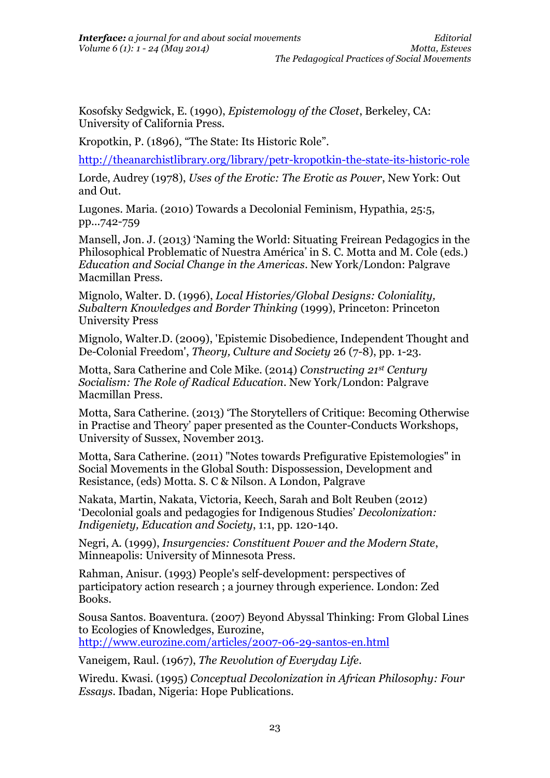Kosofsky Sedgwick, E. (1990), *Epistemology of the Closet*, Berkeley, CA: University of California Press.

Kropotkin, P. (1896), "The State: Its Historic Role".

<http://theanarchistlibrary.org/library/petr-kropotkin-the-state-its-historic-role>

Lorde, Audrey (1978), *Uses of the Erotic: The Erotic as Power*, New York: Out and Out.

Lugones. Maria. (2010) Towards a Decolonial Feminism, Hypathia, 25:5, pp...742-759

Mansell, Jon. J. (2013) 'Naming the World: Situating Freirean Pedagogics in the Philosophical Problematic of Nuestra América' in S. C. Motta and M. Cole (eds.) *Education and Social Change in the Americas*. New York/London: Palgrave Macmillan Press.

Mignolo, Walter. D. (1996), *Local Histories/Global Designs: Coloniality, Subaltern Knowledges and Border Thinking* (1999), Princeton: Princeton University Press

Mignolo, Walter.D. (2009), 'Epistemic Disobedience, Independent Thought and De-Colonial Freedom', *Theory, Culture and Society* 26 (7-8), pp. 1-23.

Motta, Sara Catherine and Cole Mike. (2014) *Constructing 21st Century Socialism: The Role of Radical Education.* New York/London: Palgrave Macmillan Press.

Motta, Sara Catherine. (2013) 'The Storytellers of Critique: Becoming Otherwise in Practise and Theory' paper presented as the Counter-Conducts Workshops, University of Sussex, November 2013.

Motta, Sara Catherine. (2011) "Notes towards Prefigurative Epistemologies" in Social Movements in the Global South: Dispossession, Development and Resistance, (eds) Motta. S. C & Nilson. A London, Palgrave

Nakata, Martin, Nakata, Victoria, Keech, Sarah and Bolt Reuben (2012) 'Decolonial goals and pedagogies for Indigenous Studies' *Decolonization: Indigeniety, Education and Society*, 1:1, pp. 120-140.

Negri, A. (1999), *Insurgencies: Constituent Power and the Modern State*, Minneapolis: University of Minnesota Press.

Rahman, Anisur. (1993) People's self-development: perspectives of participatory action research ; a journey through experience. London: Zed Books.

Sousa Santos. Boaventura. (2007) Beyond Abyssal Thinking: From Global Lines to Ecologies of Knowledges, Eurozine, <http://www.eurozine.com/articles/2007-06-29-santos-en.html>

Vaneigem, Raul. (1967), *The Revolution of Everyday Life*.

Wiredu. Kwasi. (1995) *Conceptual Decolonization in African Philosophy: Four Essays*. Ibadan, Nigeria: Hope Publications.